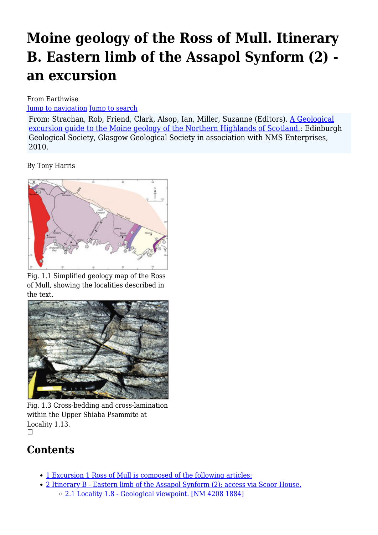# **Moine geology of the Ross of Mull. Itinerary B. Eastern limb of the Assapol Synform (2) an excursion**

From Earthwise

[Jump to navigation](#page--1-0) [Jump to search](#page--1-0)

From: Strachan, Rob, Friend, Clark, Alsop, Ian, Miller, Suzanne (Editors). [A Geological](http://earthwise.bgs.ac.uk/index.php/Excursion_guide_to_the_Moine_geology_of_the_Northern_Highlands_of_Scotland) [excursion guide to the Moine geology of the Northern Highlands of Scotland.:](http://earthwise.bgs.ac.uk/index.php/Excursion_guide_to_the_Moine_geology_of_the_Northern_Highlands_of_Scotland) Edinburgh Geological Society, Glasgow Geological Society in association with NMS Enterprises, 2010.

By Tony Harris



Fig. 1.1 Simplified geology map of the Ross of Mull, showing the localities described in the text.



Fig. 1.3 Cross-bedding and cross-lamination within the Upper Shiaba Psammite at Locality 1.13.  $\Box$ 

# **Contents**

- [1](#page--1-0) [Excursion 1 Ross of Mull is composed of the following articles:](#page--1-0)
- [2](#Itinerary_B_-_Eastern_limb_of_the_Assapol_Synform_.282.29.3B_access_via_Scoor_House.) [Itinerary B Eastern limb of the Assapol Synform \(2\); access via Scoor House.](#Itinerary_B_-_Eastern_limb_of_the_Assapol_Synform_.282.29.3B_access_via_Scoor_House.)
	- [2.1](#Locality_1.8_-_Geological_viewpoint._.5BNM_4208_1884.5D) [Locality 1.8 Geological viewpoint. \[NM 4208 1884\]](#Locality_1.8_-_Geological_viewpoint._.5BNM_4208_1884.5D)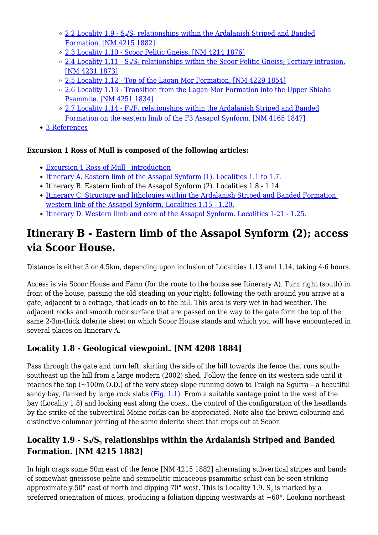- <u>[2.2](#Locality_1.9_-_S0.2FS2_relationships_within_the_Ardalanish_Striped_and_Banded_Formation._.5BNM_4215_1882.5D) [Locality 1.9 S](#Locality_1.9_-_S0.2FS2_relationships_within_the_Ardalanish_Striped_and_Banded_Formation._.5BNM_4215_1882.5D) $_{9}/\text{S}_2$  $_{9}/\text{S}_2$  [relationships within the Ardalanish Striped and Banded](#Locality_1.9_-_S0.2FS2_relationships_within_the_Ardalanish_Striped_and_Banded_Formation._.5BNM_4215_1882.5D)</u> [Formation. \[NM 4215 1882\]](#Locality_1.9_-_S0.2FS2_relationships_within_the_Ardalanish_Striped_and_Banded_Formation._.5BNM_4215_1882.5D)
- [2.3](#Locality_1.10_-_Scoor_Pelitic_Gneiss._.5BNM_4214_1876.5D) [Locality 1.10 Scoor Pelitic Gneiss. \[NM 4214 1876\]](#Locality_1.10_-_Scoor_Pelitic_Gneiss._.5BNM_4214_1876.5D)
- <u>[2.4](#Locality_1.11_-_S0.2FS2_relationships_within_the_Scoor_Pelitic_Gneiss.3B_Tertiary_intrusion._.5BNM_4231_1873.5D) [Locality 1.11 S](#Locality_1.11_-_S0.2FS2_relationships_within_the_Scoor_Pelitic_Gneiss.3B_Tertiary_intrusion._.5BNM_4231_1873.5D)<sub>9</sub>[/S](#Locality_1.11_-_S0.2FS2_relationships_within_the_Scoor_Pelitic_Gneiss.3B_Tertiary_intrusion._.5BNM_4231_1873.5D)<sub>[2](#Locality_1.11_-_S0.2FS2_relationships_within_the_Scoor_Pelitic_Gneiss.3B_Tertiary_intrusion._.5BNM_4231_1873.5D)</sub> [relationships within the Scoor Pelitic Gneiss; Tertiary intrusion.](#Locality_1.11_-_S0.2FS2_relationships_within_the_Scoor_Pelitic_Gneiss.3B_Tertiary_intrusion._.5BNM_4231_1873.5D)</u> [\[NM 4231 1873\]](#Locality_1.11_-_S0.2FS2_relationships_within_the_Scoor_Pelitic_Gneiss.3B_Tertiary_intrusion._.5BNM_4231_1873.5D)
- [2.5](#Locality_1.12_-_Top_of_the_Lagan_Mor_Formation._.5BNM_4229_1854.5D) [Locality 1.12 Top of the Lagan Mor Formation. \[NM 4229 1854\]](#Locality_1.12_-_Top_of_the_Lagan_Mor_Formation._.5BNM_4229_1854.5D)
- [2.6](#Locality_1.13_-_Transition_from_the_Lagan_Mor_Formation_into_the_Upper_Shiaba_Psammite._.5BNM_4251_1834.5D) [Locality 1.13 Transition from the Lagan Mor Formation into the Upper Shiaba](#Locality_1.13_-_Transition_from_the_Lagan_Mor_Formation_into_the_Upper_Shiaba_Psammite._.5BNM_4251_1834.5D) [Psammite. \[NM 4251 1834\]](#Locality_1.13_-_Transition_from_the_Lagan_Mor_Formation_into_the_Upper_Shiaba_Psammite._.5BNM_4251_1834.5D)
- <u>[2.7](#Locality_1.14_-_F2.2FF3_relationships_within_the_Ardalanish_Striped_and_Banded_Formation_on_the_eastern_limb_of_the_F3_Assapol_Synform._.5BNM_4165_1847.5D) Locality 1.14  $\mathrm{F_2}/\mathrm{F_3}$  $\mathrm{F_2}/\mathrm{F_3}$  $\mathrm{F_2}/\mathrm{F_3}$  $\mathrm{F_2}/\mathrm{F_3}$  $\mathrm{F_2}/\mathrm{F_3}$  [relationships within the Ardalanish Striped and Banded](#Locality_1.14_-_F2.2FF3_relationships_within_the_Ardalanish_Striped_and_Banded_Formation_on_the_eastern_limb_of_the_F3_Assapol_Synform._.5BNM_4165_1847.5D)</u> [Formation on the eastern limb of the F3 Assapol Synform. \[NM 4165 1847\]](#Locality_1.14_-_F2.2FF3_relationships_within_the_Ardalanish_Striped_and_Banded_Formation_on_the_eastern_limb_of_the_F3_Assapol_Synform._.5BNM_4165_1847.5D)
- [3](#page--1-0) [References](#page--1-0)

#### **Excursion 1 Ross of Mull is composed of the following articles:**

- [Excursion 1 Ross of Mull introduction](http://earthwise.bgs.ac.uk/index.php/Moine_geology_of_the_Ross_of_Mull_-_an_excursion)
- [Itinerary A. Eastern limb of the Assapol Synform \(1\). Localities 1.1 to 1.7.](http://earthwise.bgs.ac.uk/index.php/Moine_geology_of_the_Ross_of_Mull._Itinerary_A._Eastern_limb_of_the_Assapol_Synform_(1)_-_an_excursion)
- Itinerary B. Eastern limb of the Assapol Synform (2). Localities 1.8 1.14.
- [Itinerary C. Structure and lithologies within the Ardalanish Striped and Banded Formation,](http://earthwise.bgs.ac.uk/index.php/Moine_geology_of_the_Ross_of_Mull._Itinerary_C._Structure_and_lithologies_within_the_Ardalanish_Striped_and_Banded_Formation,_western_linb_of_the_Assapol_Synform_-_an_excursion) [western linb of the Assapol Synform. Localities 1.15 - 1.20.](http://earthwise.bgs.ac.uk/index.php/Moine_geology_of_the_Ross_of_Mull._Itinerary_C._Structure_and_lithologies_within_the_Ardalanish_Striped_and_Banded_Formation,_western_linb_of_the_Assapol_Synform_-_an_excursion)
- [Itinerary D. Western limb and core of the Assapol Synform. Localities 1-21 1.25.](http://earthwise.bgs.ac.uk/index.php/Moine_geology_of_the_Ross_of_Mull._Itinerary_D._Western_limb_and_core_of_the_Assapol_Synform_-_an_excursion)

### **Itinerary B - Eastern limb of the Assapol Synform (2); access via Scoor House.**

Distance is either 3 or 4.5km, depending upon inclusion of Localities 1.13 and 1.14, taking 4-6 hours.

Access is via Scoor House and Farm (for the route to the house see Itinerary A). Turn right (south) in front of the house, passing the old steading on your right; following the path around you arrive at a gate, adjacent to a cottage, that leads on to the hill. This area is very wet in bad weather. The adjacent rocks and smooth rock surface that are passed on the way to the gate form the top of the same 2-3m-thick dolerite sheet on which Scoor House stands and which you will have encountered in several places on Itinerary A.

#### **Locality 1.8 - Geological viewpoint. [NM 4208 1884]**

Pass through the gate and turn left, skirting the side of the hill towards the fence that runs southsoutheast up the hill from a large modern (2002) shed. Follow the fence on its western side until it reaches the top  $(\sim 100 \text{m } 0.0)$  of the very steep slope running down to Traigh na Sgurra – a beautiful sandy bay, flanked by large rock slabs  $(Fiq, 1.1)$ . From a suitable vantage point to the west of the bay (Locality 1.8) and looking east along the coast, the control of the configuration of the headlands by the strike of the subvertical Moine rocks can be appreciated. Note also the brown colouring and distinctive columnar jointing of the same dolerite sheet that crops out at Scoor.

#### **Locality 1.9 - S0/S<sup>2</sup> relationships within the Ardalanish Striped and Banded Formation. [NM 4215 1882]**

In high crags some 50m east of the fence [NM 4215 1882] alternating subvertical stripes and bands of somewhat gneissose pelite and semipelitic micaceous psammitic schist can be seen striking approximately 50° east of north and dipping 70° west. This is Locality 1.9.  $\mathsf{S}_2$  is marked by a preferred orientation of micas, producing a foliation dipping westwards at  $\sim 60^\circ$ . Looking northeast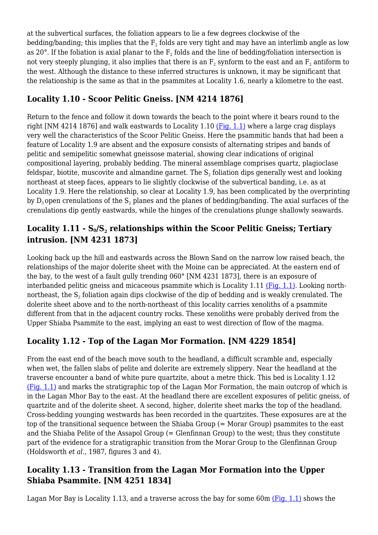at the subvertical surfaces, the foliation appears to lie a few degrees clockwise of the bedding/banding; this implies that the  $\mathrm{F}_2$  folds are very tight and may have an interlimb angle as low as 20°. If the foliation is axial planar to the  $\text{F}_\text{2}$  folds and the line of bedding/foliation intersection is not very steeply plunging, it also implies that there is an  $\text{F}_\text{2}$  synform to the east and an  $\text{F}_\text{2}$  antiform to the west. Although the distance to these inferred structures is unknown, it may be significant that the relationship is the same as that in the psammites at Locality 1.6, nearly a kilometre to the east.

#### **Locality 1.10 - Scoor Pelitic Gneiss. [NM 4214 1876]**

Return to the fence and follow it down towards the beach to the point where it bears round to the right [NM 4214 1876] and walk eastwards to Locality 1.10 [\(Fig. 1.1\)](http://earthwise.bgs.ac.uk/images/6/65/EGS_MOI_Fig_01_01.jpg) where a large crag displays very well the characteristics of the Scoor Pelitic Gneiss. Here the psammitic bands that had been a feature of Locality 1.9 are absent and the exposure consists of alternating stripes and bands of pelitic and semipelitic somewhat gneissose material, showing clear indications of original compositional layering, probably bedding. The mineral assemblage comprises quartz, plagioclase feldspar, biotite, muscovite and almandine garnet. The  $\mathsf{S}_2$  foliation dips generally west and looking northeast at steep faces, appears to lie slightly clockwise of the subvertical banding, i.e. as at Locality 1.9. Here the relationship, so clear at Locality 1.9, has been complicated by the overprinting by  $\rm D_3$ open crenulations of the  $\rm S_2$  planes and the planes of bedding/banding. The axial surfaces of the crenulations dip gently eastwards, while the hinges of the crenulations plunge shallowly seawards.

#### **Locality 1.11 - S0/S<sup>2</sup> relationships within the Scoor Pelitic Gneiss; Tertiary intrusion. [NM 4231 1873]**

Looking back up the hill and eastwards across the Blown Sand on the narrow low raised beach, the relationships of the major dolerite sheet with the Moine can be appreciated. At the eastern end of the bay, to the west of a fault gully trending 060° [NM 4231 1873], there is an exposure of interbanded pelitic gneiss and micaceous psammite which is Locality 1.11 [\(Fig. 1.1\).](http://earthwise.bgs.ac.uk/images/6/65/EGS_MOI_Fig_01_01.jpg) Looking northnortheast, the  $\mathsf{S}_2$  foliation again dips clockwise of the dip of bedding and is weakly crenulated. The dolerite sheet above and to the north-northeast of this locality carries xenoliths of a psammite different from that in the adjacent country rocks. These xenoliths were probably derived from the Upper Shiaba Psammite to the east, implying an east to west direction of flow of the magma.

#### **Locality 1.12 - Top of the Lagan Mor Formation. [NM 4229 1854]**

From the east end of the beach move south to the headland, a difficult scramble and, especially when wet, the fallen slabs of pelite and dolerite are extremely slippery. Near the headland at the traverse encounter a band of white pure quartzite, about a metre thick. This bed is Locality 1.12 [\(Fig. 1.1\)](http://earthwise.bgs.ac.uk/images/6/65/EGS_MOI_Fig_01_01.jpg) and marks the stratigraphic top of the Lagan Mor Formation, the main outcrop of which is in the Lagan Mhor Bay to the east. At the headland there are excellent exposures of pelitic gneiss, of quartzite and of the dolerite sheet. A second, higher, dolerite sheet marks the top of the headland. Cross-bedding younging westwards has been recorded in the quartzites. These exposures are at the top of the transitional sequence between the Shiaba Group (= Morar Group) psammites to the east and the Shiaba Pelite of the Assapol Group (= Glenfinnan Group) to the west; thus they constitute part of the evidence for a stratigraphic transition from the Morar Group to the Glenfinnan Group (Holdsworth *et al*., 1987, figures 3 and 4).

#### **Locality 1.13 - Transition from the Lagan Mor Formation into the Upper Shiaba Psammite. [NM 4251 1834]**

Lagan Mor Bay is Locality 1.13, and a traverse across the bay for some 60m  $(Fig. 1.1)$  shows the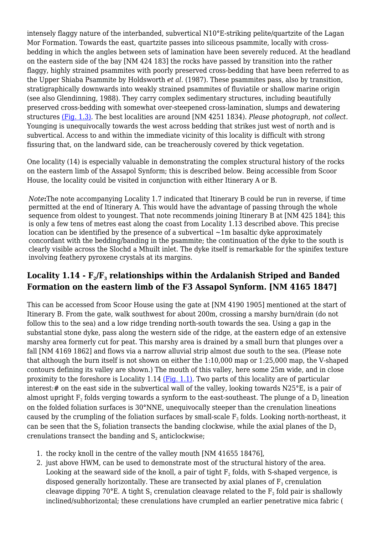intensely flaggy nature of the interbanded, subvertical N10°E-striking pelite/quartzite of the Lagan Mor Formation. Towards the east, quartzite passes into siliceous psammite, locally with crossbedding in which the angles between sets of lamination have been severely reduced. At the headland on the eastern side of the bay [NM 424 183] the rocks have passed by transition into the rather flaggy, highly strained psammites with poorly preserved cross-bedding that have been referred to as the Upper Shiaba Psammite by Holdsworth *et al*. (1987). These psammites pass, also by transition, stratigraphically downwards into weakly strained psammites of fluviatile or shallow marine origin (see also Glendinning, 1988). They carry complex sedimentary structures, including beautifully preserved cross-bedding with somewhat over-steepened cross-lamination, slumps and dewatering structures [\(Fig. 1.3\)](http://earthwise.bgs.ac.uk/images/a/a6/EGS_MOI_Fig_01_03.jpg). The best localities are around [NM 4251 1834). *Please photograph, not collect.* Younging is unequivocally towards the west across bedding that strikes just west of north and is subvertical. Access to and within the immediate vicinity of this locality is difficult with strong fissuring that, on the landward side, can be treacherously covered by thick vegetation.

One locality (14) is especially valuable in demonstrating the complex structural history of the rocks on the eastern limb of the Assapol Synform; this is described below. Being accessible from Scoor House, the locality could be visited in conjunction with either Itinerary A or B.

*Note***:**The note accompanying Locality 1.7 indicated that Itinerary B could be run in reverse, if time permitted at the end of Itinerary A. This would have the advantage of passing through the whole sequence from oldest to youngest. That note recommends joining Itinerary B at [NM 425 184]; this is only a few tens of metres east along the coast from Locality 1.13 described above. This precise location can be identified by the presence of a subvertical  $\sim$ 1m basaltic dyke approximately concordant with the bedding/banding in the psammite; the continuation of the dyke to the south is clearly visible across the Slochd a Mhuilt inlet. The dyke itself is remarkable for the spinifex texture involving feathery pyroxene crystals at its margins.

#### **Locality 1.14 - F<sup>2</sup> /F<sup>3</sup> relationships within the Ardalanish Striped and Banded Formation on the eastern limb of the F3 Assapol Synform. [NM 4165 1847]**

This can be accessed from Scoor House using the gate at [NM 4190 1905] mentioned at the start of Itinerary B. From the gate, walk southwest for about 200m, crossing a marshy burn/drain (do not follow this to the sea) and a low ridge trending north-south towards the sea. Using a gap in the substantial stone dyke, pass along the western side of the ridge, at the eastern edge of an extensive marshy area formerly cut for peat. This marshy area is drained by a small burn that plunges over a fall [NM 4169 1862] and flows via a narrow alluvial strip almost due south to the sea. (Please note that although the burn itself is not shown on either the 1:10,000 map or 1:25,000 map, the V-shaped contours defining its valley are shown.) The mouth of this valley, here some 25m wide, and in close proximity to the foreshore is Locality 1.14 [\(Fig. 1.1\)](http://earthwise.bgs.ac.uk/images/6/65/EGS_MOI_Fig_01_01.jpg). Two parts of this locality are of particular interest:# on the east side in the subvertical wall of the valley, looking towards N25°E, is a pair of almost upright  $\rm F_2$  folds verging towards a synform to the east-southeast. The plunge of a  $\rm D_2$  lineation on the folded foliation surfaces is 30°NNE, unequivocally steeper than the crenulation lineations caused by the crumpling of the foliation surfaces by small-scale  $\boldsymbol{\mathrm{F}}_3$  folds. Looking north-northeast, it can be seen that the  $\mathsf{S}_2$  foliation transects the banding clockwise, while the axial planes of the  $\mathsf{D}_3$ crenulations transect the banding and  $\mathsf{S}_\mathsf{2}$  anticlockwise;

- 1. the rocky knoll in the centre of the valley mouth [NM 41655 18476],
- 2. just above HWM, can be used to demonstrate most of the structural history of the area. Looking at the seaward side of the knoll, a pair of tight  $\mathrm{F}_2$  folds, with S-shaped vergence, is disposed generally horizontally. These are transected by axial planes of  $\mathtt{F}_3$  crenulation cleavage dipping 70°E. A tight  $\mathsf{S}_2$  crenulation cleavage related to the  $\mathsf{F}_2$  fold pair is shallowly inclined/subhorizontal; these crenulations have crumpled an earlier penetrative mica fabric (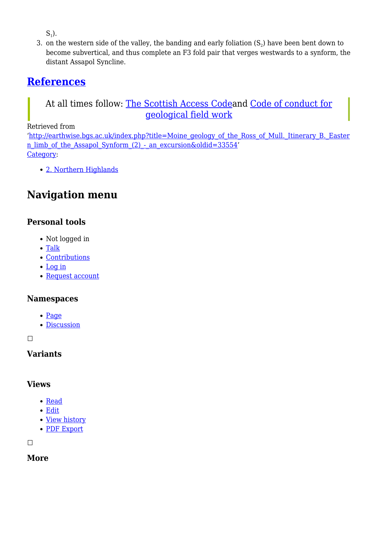$S_1$ ).

3. on the western side of the valley, the banding and early foliation  $(S_2)$  have been bent down to become subvertical, and thus complete an F3 fold pair that verges westwards to a synform, the distant Assapol Syncline.

### **[References](http://earthwise.bgs.ac.uk/index.php/Excursion_guide_to_the_Moine_geology_of_the_Northern_Highlands_of_Scotland#References)**

#### At all times follow: [The Scottish Access Codea](http://www.outdooraccess-scotland.com/the-act-and-the-code/introduction)nd [Code of conduct for](https://www.scottishgeology.com/where-to-go/geological-fieldwork-code/) [geological field work](https://www.scottishgeology.com/where-to-go/geological-fieldwork-code/)

Retrieved from

'[http://earthwise.bgs.ac.uk/index.php?title=Moine\\_geology\\_of\\_the\\_Ross\\_of\\_Mull.\\_Itinerary\\_B.\\_Easter](http://earthwise.bgs.ac.uk/index.php?title=Moine_geology_of_the_Ross_of_Mull._Itinerary_B._Eastern_limb_of_the_Assapol_Synform_(2)_-_an_excursion&oldid=33554) [n\\_limb\\_of\\_the\\_Assapol\\_Synform\\_\(2\)\\_-\\_an\\_excursion&oldid=33554](http://earthwise.bgs.ac.uk/index.php?title=Moine_geology_of_the_Ross_of_Mull._Itinerary_B._Eastern_limb_of_the_Assapol_Synform_(2)_-_an_excursion&oldid=33554)' [Category](http://earthwise.bgs.ac.uk/index.php/Special:Categories):

[2. Northern Highlands](http://earthwise.bgs.ac.uk/index.php/Category:2._Northern_Highlands)

## **Navigation menu**

#### **Personal tools**

- Not logged in
- [Talk](http://earthwise.bgs.ac.uk/index.php/Special:MyTalk)
- [Contributions](http://earthwise.bgs.ac.uk/index.php/Special:MyContributions)
- [Log in](http://earthwise.bgs.ac.uk/index.php?title=Special:UserLogin&returnto=Moine+geology+of+the+Ross+of+Mull.+Itinerary+B.+Eastern+limb+of+the+Assapol+Synform+%282%29+-+an+excursion&returntoquery=action%3Dmpdf)
- [Request account](http://earthwise.bgs.ac.uk/index.php/Special:RequestAccount)

#### **Namespaces**

- [Page](http://earthwise.bgs.ac.uk/index.php/Moine_geology_of_the_Ross_of_Mull._Itinerary_B._Eastern_limb_of_the_Assapol_Synform_(2)_-_an_excursion)
- [Discussion](http://earthwise.bgs.ac.uk/index.php?title=Talk:Moine_geology_of_the_Ross_of_Mull._Itinerary_B._Eastern_limb_of_the_Assapol_Synform_(2)_-_an_excursion&action=edit&redlink=1)

 $\Box$ 

#### **Variants**

#### **Views**

- [Read](http://earthwise.bgs.ac.uk/index.php/Moine_geology_of_the_Ross_of_Mull._Itinerary_B._Eastern_limb_of_the_Assapol_Synform_(2)_-_an_excursion)
- [Edit](http://earthwise.bgs.ac.uk/index.php?title=Moine_geology_of_the_Ross_of_Mull._Itinerary_B._Eastern_limb_of_the_Assapol_Synform_(2)_-_an_excursion&action=edit)
- [View history](http://earthwise.bgs.ac.uk/index.php?title=Moine_geology_of_the_Ross_of_Mull._Itinerary_B._Eastern_limb_of_the_Assapol_Synform_(2)_-_an_excursion&action=history)
- [PDF Export](http://earthwise.bgs.ac.uk/index.php?title=Moine_geology_of_the_Ross_of_Mull._Itinerary_B._Eastern_limb_of_the_Assapol_Synform_(2)_-_an_excursion&action=mpdf)

 $\Box$ 

#### **More**